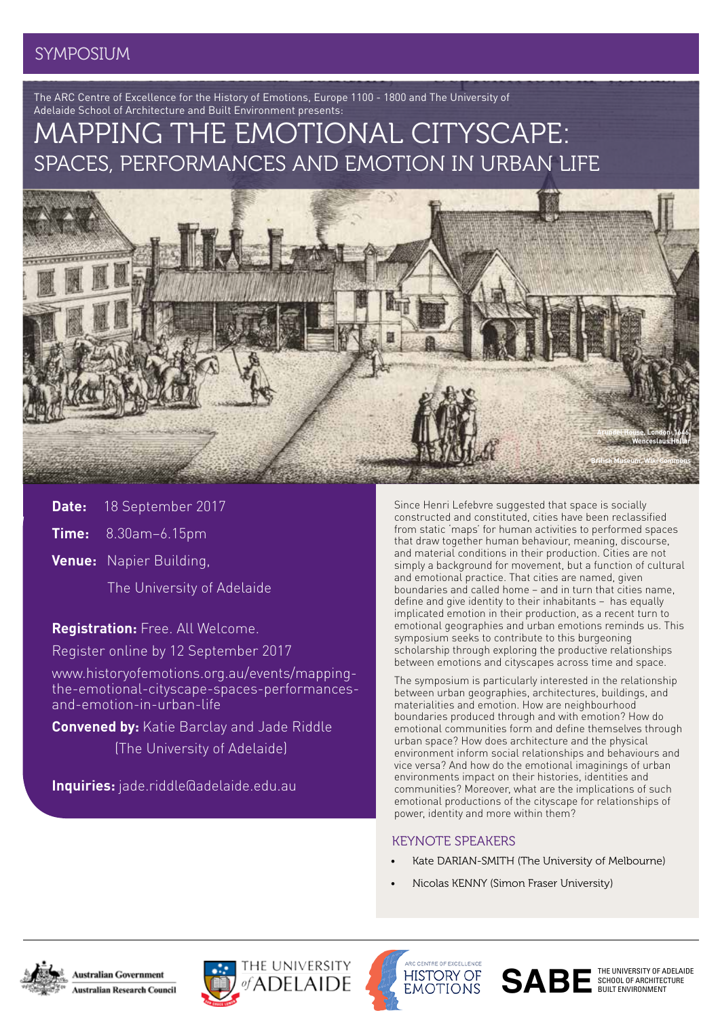## SYMPOSIUM

The ARC Centre of Excellence for the History of Emotions, Europe 1100 - 1800 and The University of Adelaide School of Architecture and Built Environment presents:

# MAPPING THE EMOTIONAL CITYSCAPE: SPACES, PERFORMANCES AND EMOTION IN URBAN LIFE



**Date:** 18 September 2017

**Time:** 8.30am–6.15pm

**Venue:** Napier Building,

The University of Adelaide

**Registration:** Free. All Welcome.

Register online by 12 September 2017

www.historyofemotions.org.au/events/mappingthe-emotional-cityscape-spaces-performancesand-emotion-in-urban-life

**Convened by:** Katie Barclay and Jade Riddle (The University of Adelaide)

**Inquiries:** jade.riddle@adelaide.edu.au

Since Henri Lefebvre suggested that space is socially constructed and constituted, cities have been reclassified from static 'maps' for human activities to performed spaces that draw together human behaviour, meaning, discourse, and material conditions in their production. Cities are not simply a background for movement, but a function of cultural and emotional practice. That cities are named, given boundaries and called home – and in turn that cities name, define and give identity to their inhabitants – has equally implicated emotion in their production, as a recent turn to emotional geographies and urban emotions reminds us. This symposium seeks to contribute to this burgeoning scholarship through exploring the productive relationships between emotions and cityscapes across time and space.

The symposium is particularly interested in the relationship between urban geographies, architectures, buildings, and materialities and emotion. How are neighbourhood boundaries produced through and with emotion? How do emotional communities form and define themselves through urban space? How does architecture and the physical environment inform social relationships and behaviours and vice versa? And how do the emotional imaginings of urban environments impact on their histories, identities and communities? Moreover, what are the implications of such emotional productions of the cityscape for relationships of power, identity and more within them?

## KEYNOTE SPEAKERS

- Kate DARIAN-SMITH (The University of Melbourne)
- Nicolas KENNY (Simon Fraser University)